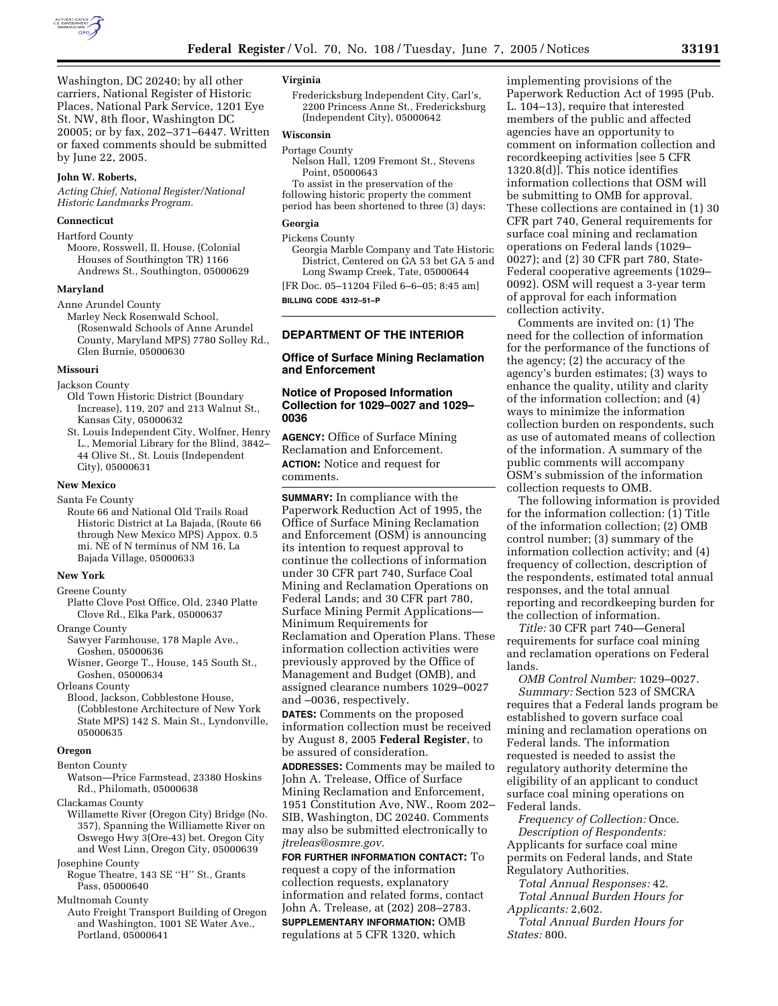

Washington, DC 20240; by all other carriers, National Register of Historic Places, National Park Service, 1201 Eye St. NW, 8th floor, Washington DC 20005; or by fax, 202–371–6447. Written or faxed comments should be submitted by June 22, 2005.

#### **John W. Roberts,**

*Acting Chief, National Register/National Historic Landmarks Program.*

### **Connecticut**

Hartford County Moore, Rosswell, II, House, (Colonial Houses of Southington TR) 1166 Andrews St., Southington, 05000629

#### **Maryland**

Anne Arundel County

Marley Neck Rosenwald School, (Rosenwald Schools of Anne Arundel County, Maryland MPS) 7780 Solley Rd., Glen Burnie, 05000630

#### **Missouri**

Jackson County

- Old Town Historic District (Boundary Increase), 119, 207 and 213 Walnut St., Kansas City, 05000632
- St. Louis Independent City, Wolfner, Henry L., Memorial Library for the Blind, 3842– 44 Olive St., St. Louis (Independent City), 05000631

#### **New Mexico**

Santa Fe County

Route 66 and National Old Trails Road Historic District at La Bajada, (Route 66 through New Mexico MPS) Appox. 0.5 mi. NE of N terminus of NM 16, La Bajada Village, 05000633

#### **New York**

Greene County

- Platte Clove Post Office, Old, 2340 Platte Clove Rd., Elka Park, 05000637
- Orange County
	- Sawyer Farmhouse, 178 Maple Ave., Goshen, 05000636
	- Wisner, George T., House, 145 South St., Goshen, 05000634

Orleans County

Blood, Jackson, Cobblestone House, (Cobblestone Architecture of New York State MPS) 142 S. Main St., Lyndonville, 05000635

#### **Oregon**

Benton County

Watson—Price Farmstead, 23380 Hoskins Rd., Philomath, 05000638

Clackamas County

- Willamette River (Oregon City) Bridge (No. 357), Spanning the Williamette River on Oswego Hwy 3(Ore-43) bet. Oregon City and West Linn, Oregon City, 05000639
- Josephine County Rogue Theatre, 143 SE ''H'' St., Grants

Pass, 05000640

Multnomah County

Auto Freight Transport Building of Oregon and Washington, 1001 SE Water Ave., Portland, 05000641

## **Virginia**

Fredericksburg Independent City, Carl's, 2200 Princess Anne St., Fredericksburg (Independent City), 05000642

## **Wisconsin**

Portage County Nelson Hall, 1209 Fremont St., Stevens Point, 05000643

To assist in the preservation of the following historic property the comment period has been shortened to three (3) days:

#### **Georgia**

Pickens County

Georgia Marble Company and Tate Historic District, Centered on GA 53 bet GA 5 and Long Swamp Creek, Tate, 05000644

[FR Doc. 05–11204 Filed 6–6–05; 8:45 am] **BILLING CODE 4312–51–P**

## **DEPARTMENT OF THE INTERIOR**

### **Office of Surface Mining Reclamation and Enforcement**

## **Notice of Proposed Information Collection for 1029–0027 and 1029– 0036**

**AGENCY:** Office of Surface Mining Reclamation and Enforcement. **ACTION:** Notice and request for comments.

**SUMMARY:** In compliance with the Paperwork Reduction Act of 1995, the Office of Surface Mining Reclamation and Enforcement (OSM) is announcing its intention to request approval to continue the collections of information under 30 CFR part 740, Surface Coal Mining and Reclamation Operations on Federal Lands; and 30 CFR part 780, Surface Mining Permit Applications— Minimum Requirements for Reclamation and Operation Plans. These information collection activities were previously approved by the Office of Management and Budget (OMB), and assigned clearance numbers 1029–0027 and –0036, respectively.

**DATES:** Comments on the proposed information collection must be received by August 8, 2005 **Federal Register**, to be assured of consideration.

**ADDRESSES:** Comments may be mailed to John A. Trelease, Office of Surface Mining Reclamation and Enforcement, 1951 Constitution Ave, NW., Room 202– SIB, Washington, DC 20240. Comments may also be submitted electronically to *jtreleas@osmre.gov.*

**FOR FURTHER INFORMATION CONTACT:** To request a copy of the information collection requests, explanatory information and related forms, contact John A. Trelease, at (202) 208–2783. **SUPPLEMENTARY INFORMATION:** OMB regulations at 5 CFR 1320, which

implementing provisions of the Paperwork Reduction Act of 1995 (Pub. L. 104–13), require that interested members of the public and affected agencies have an opportunity to comment on information collection and recordkeeping activities [see 5 CFR 1320.8(d)]. This notice identifies information collections that OSM will be submitting to OMB for approval. These collections are contained in (1) 30 CFR part 740, General requirements for surface coal mining and reclamation operations on Federal lands (1029– 0027); and (2) 30 CFR part 780, State-Federal cooperative agreements (1029– 0092). OSM will request a 3-year term of approval for each information collection activity.

Comments are invited on: (1) The need for the collection of information for the performance of the functions of the agency; (2) the accuracy of the agency's burden estimates; (3) ways to enhance the quality, utility and clarity of the information collection; and (4) ways to minimize the information collection burden on respondents, such as use of automated means of collection of the information. A summary of the public comments will accompany OSM's submission of the information collection requests to OMB.

The following information is provided for the information collection: (1) Title of the information collection; (2) OMB control number; (3) summary of the information collection activity; and (4) frequency of collection, description of the respondents, estimated total annual responses, and the total annual reporting and recordkeeping burden for the collection of information.

*Title:* 30 CFR part 740—General requirements for surface coal mining and reclamation operations on Federal lands.

*OMB Control Number:* 1029–0027. *Summary:* Section 523 of SMCRA requires that a Federal lands program be established to govern surface coal mining and reclamation operations on Federal lands. The information requested is needed to assist the regulatory authority determine the eligibility of an applicant to conduct surface coal mining operations on Federal lands.

*Frequency of Collection:* Once. *Description of Respondents:* Applicants for surface coal mine permits on Federal lands, and State Regulatory Authorities.

*Total Annual Responses:* 42. *Total Annual Burden Hours for Applicants:* 2,602.

*Total Annual Burden Hours for States:* 800.